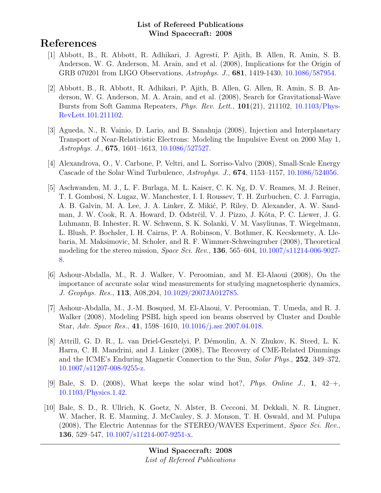# References

- [1] Abbott, B., R. Abbott, R. Adhikari, J. Agresti, P. Ajith, B. Allen, R. Amin, S. B. Anderson, W. G. Anderson, M. Arain, and et al. (2008), Implications for the Origin of GRB 070201 from LIGO Observations, Astrophys. J., 681, 1419-1430, [10.1086/587954.](http://dx.doi.org/10.1086/587954)
- [2] Abbott, B., R. Abbott, R. Adhikari, P. Ajith, B. Allen, G. Allen, R. Amin, S. B. Anderson, W. G. Anderson, M. A. Arain, and et al. (2008), Search for Gravitational-Wave Bursts from Soft Gamma Repeaters, Phys. Rev. Lett., 101(21), 211102, [10.1103/Phys-](http://dx.doi.org/10.1103/PhysRevLett.101.211102)[RevLett.101.211102.](http://dx.doi.org/10.1103/PhysRevLett.101.211102)
- [3] Agueda, N., R. Vainio, D. Lario, and B. Sanahuja (2008), Injection and Interplanetary Transport of Near-Relativistic Electrons: Modeling the Impulsive Event on 2000 May 1, Astrophys. J., 675, 1601–1613, [10.1086/527527.](http://dx.doi.org/10.1086/527527)
- [4] Alexandrova, O., V. Carbone, P. Veltri, and L. Sorriso-Valvo (2008), Small-Scale Energy Cascade of the Solar Wind Turbulence, Astrophys. J., 674, 1153–1157, [10.1086/524056.](http://dx.doi.org/10.1086/524056)
- [5] Aschwanden, M. J., L. F. Burlaga, M. L. Kaiser, C. K. Ng, D. V. Reames, M. J. Reiner, T. I. Gombosi, N. Lugaz, W. Manchester, I. I. Roussev, T. H. Zurbuchen, C. J. Farrugia, A. B. Galvin, M. A. Lee, J. A. Linker, Z. Mikić, P. Riley, D. Alexander, A. W. Sandman, J. W. Cook, R. A. Howard, D. Odstrčil, V. J. Pizzo, J. Kóta, P. C. Liewer, J. G. Luhmann, B. Inhester, R. W. Schwenn, S. K. Solanki, V. M. Vasyliunas, T. Wiegelmann, L. Blush, P. Bochsler, I. H. Cairns, P. A. Robinson, V. Bothmer, K. Kecskemety, A. Llebaria, M. Maksimovic, M. Scholer, and R. F. Wimmer-Schweingruber (2008), Theoretical modeling for the stereo mission, Space Sci. Rev., 136, 565–604, [10.1007/s11214-006-9027-](http://dx.doi.org/10.1007/s11214-006-9027-8) [8.](http://dx.doi.org/10.1007/s11214-006-9027-8)
- [6] Ashour-Abdalla, M., R. J. Walker, V. Peroomian, and M. El-Alaoui (2008), On the importance of accurate solar wind measurements for studying magnetospheric dynamics, J. Geophys. Res., 113, A08,204, [10.1029/2007JA012785.](http://dx.doi.org/10.1029/2007JA012785)
- [7] Ashour-Abdalla, M., J.-M. Bosqued, M. El-Alaoui, V. Peroomian, T. Umeda, and R. J. Walker (2008), Modeling PSBL high speed ion beams observed by Cluster and Double Star, Adv. Space Res., 41, 1598–1610, [10.1016/j.asr.2007.04.018.](http://dx.doi.org/10.1016/j.asr.2007.04.018)
- [8] Attrill, G. D. R., L. van Driel-Gesztelyi, P. D´emoulin, A. N. Zhukov, K. Steed, L. K. Harra, C. H. Mandrini, and J. Linker (2008), The Recovery of CME-Related Dimmings and the ICME's Enduring Magnetic Connection to the Sun, Solar Phys., 252, 349–372, [10.1007/s11207-008-9255-z.](http://dx.doi.org/10.1007/s11207-008-9255-z)
- [9] Bale, S. D. (2008), What keeps the solar wind hot?, Phys. Online J.,  $1, 42-+$ , [10.1103/Physics.1.42.](http://dx.doi.org/10.1103/Physics.1.42)
- [10] Bale, S. D., R. Ullrich, K. Goetz, N. Alster, B. Cecconi, M. Dekkali, N. R. Lingner, W. Macher, R. E. Manning, J. McCauley, S. J. Monson, T. H. Oswald, and M. Pulupa (2008), The Electric Antennas for the STEREO/WAVES Experiment, Space Sci. Rev., 136, 529–547, [10.1007/s11214-007-9251-x.](http://dx.doi.org/10.1007/s11214-007-9251-x)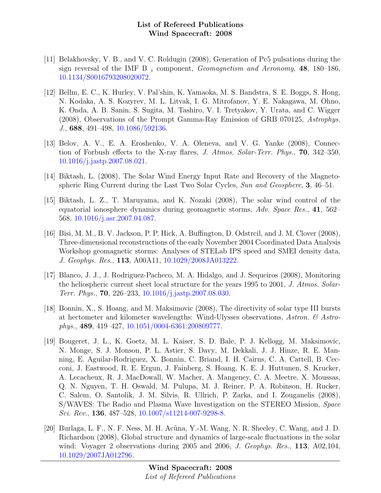- [11] Belakhovsky, V. B., and V. C. Roldugin (2008), Generation of Pc5 pulsations during the sign reversal of the IMF B  $_z$  component, Geomagnetism and Aeronomy, 48, 180–186, [10.1134/S0016793208020072.](http://dx.doi.org/10.1134/S0016793208020072)
- [12] Bellm, E. C., K. Hurley, V. Pal'shin, K. Yamaoka, M. S. Bandstra, S. E. Boggs, S. Hong, N. Kodaka, A. S. Kozyrev, M. L. Litvak, I. G. Mitrofanov, Y. E. Nakagawa, M. Ohno, K. Onda, A. B. Sanin, S. Sugita, M. Tashiro, V. I. Tretyakov, Y. Urata, and C. Wigger (2008), Observations of the Prompt Gamma-Ray Emission of GRB 070125, Astrophys. J., 688, 491–498, [10.1086/592136.](http://dx.doi.org/10.1086/592136)
- [13] Belov, A. V., E. A. Eroshenko, V. A. Oleneva, and V. G. Yanke (2008), Connection of Forbush effects to the X-ray flares, J. Atmos. Solar-Terr. Phys., 70, 342–350, [10.1016/j.jastp.2007.08.021.](http://dx.doi.org/10.1016/j.jastp.2007.08.021)
- [14] Biktash, L. (2008), The Solar Wind Energy Input Rate and Recovery of the Magnetospheric Ring Current during the Last Two Solar Cycles, Sun and Geosphere, 3, 46–51.
- [15] Biktash, L. Z., T. Maruyama, and K. Nozaki (2008), The solar wind control of the equatorial ionosphere dynamics during geomagnetic storms, Adv. Space Res., 41, 562– 568, [10.1016/j.asr.2007.04.087.](http://dx.doi.org/10.1016/j.asr.2007.04.087)
- [16] Bisi, M. M., B. V. Jackson, P. P. Hick, A. Buffington, D. Odstrcil, and J. M. Clover (2008), Three-dimensional reconstructions of the early November 2004 Coordinated Data Analysis Workshop geomagnetic storms: Analyses of STELab IPS speed and SMEI density data, J. Geophys. Res., 113, A00A11, [10.1029/2008JA013222.](http://dx.doi.org/10.1029/2008JA013222)
- [17] Blanco, J. J., J. Rodriguez-Pacheco, M. A. Hidalgo, and J. Sequeiros (2008), Monitoring the heliospheric current sheet local structure for the years 1995 to 2001, J. Atmos. Solar-Terr. Phys., 70, 226–233, [10.1016/j.jastp.2007.08.030.](http://dx.doi.org/10.1016/j.jastp.2007.08.030)
- [18] Bonnin, X., S. Hoang, and M. Maksimovic (2008), The directivity of solar type III bursts at hectometer and kilometer wavelengths: Wind-Ulysses observations, Astron.  $\mathcal{C}$  Astrophys., 489, 419–427, [10.1051/0004-6361:200809777.](http://dx.doi.org/10.1051/0004-6361:200809777)
- [19] Bougeret, J. L., K. Goetz, M. L. Kaiser, S. D. Bale, P. J. Kellogg, M. Maksimovic, N. Monge, S. J. Monson, P. L. Astier, S. Davy, M. Dekkali, J. J. Hinze, R. E. Manning, E. Aguilar-Rodriguez, X. Bonnin, C. Briand, I. H. Cairns, C. A. Cattell, B. Cecconi, J. Eastwood, R. E. Ergun, J. Fainberg, S. Hoang, K. E. J. Huttunen, S. Krucker, A. Lecacheux, R. J. MacDowall, W. Macher, A. Mangeney, C. A. Meetre, X. Moussas, Q. N. Nguyen, T. H. Oswald, M. Pulupa, M. J. Reiner, P. A. Robinson, H. Rucker, C. Salem, O. Santolik, J. M. Silvis, R. Ullrich, P. Zarka, and I. Zouganelis (2008), S/WAVES: The Radio and Plasma Wave Investigation on the STEREO Mission, Space Sci. Rev., 136, 487–528,  $10.1007 \, \text{s}$ 11214-007-9298-8.
- [20] Burlaga, L. F., N. F. Ness, M. H. Ac˜una, Y.-M. Wang, N. R. Sheeley, C. Wang, and J. D. Richardson (2008), Global structure and dynamics of large-scale fluctuations in the solar wind: Voyager 2 observations during 2005 and 2006, J. Geophys. Res., 113, A02,104, [10.1029/2007JA012796.](http://dx.doi.org/10.1029/2007JA012796)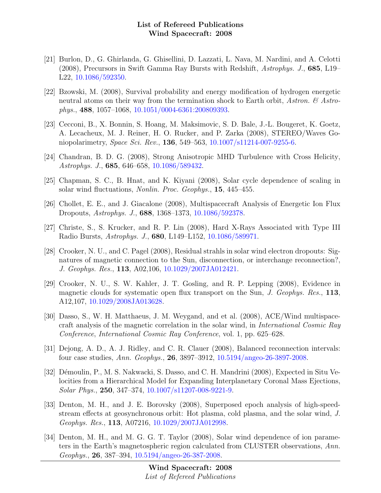- [21] Burlon, D., G. Ghirlanda, G. Ghisellini, D. Lazzati, L. Nava, M. Nardini, and A. Celotti (2008), Precursors in Swift Gamma Ray Bursts with Redshift, Astrophys. J., 685, L19– L22, [10.1086/592350.](http://dx.doi.org/10.1086/592350)
- [22] Bzowski, M. (2008), Survival probability and energy modification of hydrogen energetic neutral atoms on their way from the termination shock to Earth orbit, Astron.  $\mathcal{C}$  Astrophys., 488, 1057–1068, [10.1051/0004-6361:200809393.](http://dx.doi.org/10.1051/0004-6361:200809393)
- [23] Cecconi, B., X. Bonnin, S. Hoang, M. Maksimovic, S. D. Bale, J.-L. Bougeret, K. Goetz, A. Lecacheux, M. J. Reiner, H. O. Rucker, and P. Zarka (2008), STEREO/Waves Goniopolarimetry, Space Sci. Rev., 136, 549–563, [10.1007/s11214-007-9255-6.](http://dx.doi.org/10.1007/s11214-007-9255-6)
- [24] Chandran, B. D. G. (2008), Strong Anisotropic MHD Turbulence with Cross Helicity, Astrophys. J., 685, 646–658, [10.1086/589432.](http://dx.doi.org/10.1086/589432)
- [25] Chapman, S. C., B. Hnat, and K. Kiyani (2008), Solar cycle dependence of scaling in solar wind fluctuations, Nonlin. Proc. Geophys., 15, 445–455.
- [26] Chollet, E. E., and J. Giacalone (2008), Multispacecraft Analysis of Energetic Ion Flux Dropouts, Astrophys. J., 688, 1368–1373, [10.1086/592378.](http://dx.doi.org/10.1086/592378)
- [27] Christe, S., S. Krucker, and R. P. Lin (2008), Hard X-Rays Associated with Type III Radio Bursts, Astrophys. J., 680, L149–L152, [10.1086/589971.](http://dx.doi.org/10.1086/589971)
- [28] Crooker, N. U., and C. Pagel (2008), Residual strahls in solar wind electron dropouts: Signatures of magnetic connection to the Sun, disconnection, or interchange reconnection?, J. Geophys. Res., 113, A02,106, [10.1029/2007JA012421.](http://dx.doi.org/10.1029/2007JA012421)
- [29] Crooker, N. U., S. W. Kahler, J. T. Gosling, and R. P. Lepping (2008), Evidence in magnetic clouds for systematic open flux transport on the Sun, J. Geophys. Res., 113, A12,107, [10.1029/2008JA013628.](http://dx.doi.org/10.1029/2008JA013628)
- [30] Dasso, S., W. H. Matthaeus, J. M. Weygand, and et al. (2008), ACE/Wind multispacecraft analysis of the magnetic correlation in the solar wind, in International Cosmic Ray Conference, International Cosmic Ray Conference, vol. 1, pp. 625–628.
- [31] Dejong, A. D., A. J. Ridley, and C. R. Clauer (2008), Balanced reconnection intervals: four case studies, Ann. Geophys., 26, 3897–3912, [10.5194/angeo-26-3897-2008.](http://dx.doi.org/10.5194/angeo-26-3897-2008)
- [32] Démoulin, P., M. S. Nakwacki, S. Dasso, and C. H. Mandrini (2008), Expected in Situ Velocities from a Hierarchical Model for Expanding Interplanetary Coronal Mass Ejections, Solar Phys., 250, 347–374, [10.1007/s11207-008-9221-9.](http://dx.doi.org/10.1007/s11207-008-9221-9)
- [33] Denton, M. H., and J. E. Borovsky (2008), Superposed epoch analysis of high-speedstream effects at geosynchronous orbit: Hot plasma, cold plasma, and the solar wind, J. Geophys. Res., 113, A07216, [10.1029/2007JA012998.](http://dx.doi.org/10.1029/2007JA012998)
- [34] Denton, M. H., and M. G. G. T. Taylor (2008), Solar wind dependence of ion parameters in the Earth's magnetospheric region calculated from CLUSTER observations, Ann. Geophys., 26, 387–394, [10.5194/angeo-26-387-2008.](http://dx.doi.org/10.5194/angeo-26-387-2008)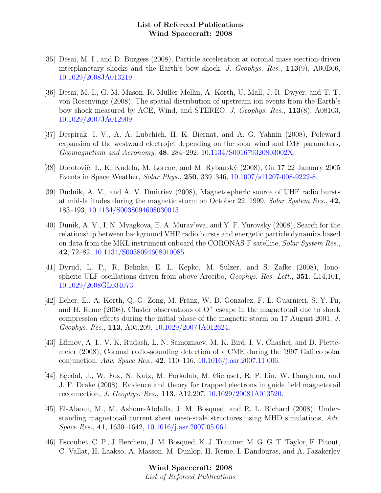- [35] Desai, M. I., and D. Burgess (2008), Particle acceleration at coronal mass ejection-driven interplanetary shocks and the Earth's bow shock, J. Geophys. Res., 113(9), A00B06, [10.1029/2008JA013219.](http://dx.doi.org/10.1029/2008JA013219)
- [36] Desai, M. I., G. M. Mason, R. Müller-Mellin, A. Korth, U. Mall, J. R. Dwyer, and T. T. von Rosenvinge (2008), The spatial distribution of upstream ion events from the Earth's bow shock measured by ACE, Wind, and STEREO, J. Geophys. Res., 113(8), A08103, [10.1029/2007JA012909.](http://dx.doi.org/10.1029/2007JA012909)
- [37] Despirak, I. V., A. A. Lubchich, H. K. Biernat, and A. G. Yahnin (2008), Poleward expansion of the westward electrojet depending on the solar wind and IMF parameters, Geomagnetism and Aeronomy, 48, 284–292, [10.1134/S001679320803002X.](http://dx.doi.org/10.1134/S001679320803002X)
- [38] Dorotovič, I., K. Kudela, M. Lorenc, and M. Rybanský (2008), On 17 22 January 2005 Events in Space Weather, Solar Phys., 250, 339–346, [10.1007/s11207-008-9222-8.](http://dx.doi.org/10.1007/s11207-008-9222-8)
- [39] Dudnik, A. V., and A. V. Dmitriev (2008), Magnetospheric source of UHF radio bursts at mid-latitudes during the magnetic storm on October 22, 1999, Solar System Res., 42, 183–193, [10.1134/S0038094608030015.](http://dx.doi.org/10.1134/S0038094608030015)
- [40] Dunik, A. V., I. N. Myagkova, E. A. Murav'eva, and Y. F. Yurovsky (2008), Search for the relationship between background VHF radio bursts and energetic particle dynamics based on data from the MKL instrument onboard the CORONAS-F satellite, Solar System Res., 42, 72–82, [10.1134/S0038094608010085.](http://dx.doi.org/10.1134/S0038094608010085)
- [41] Dyrud, L. P., R. Behnke, E. L. Kepko, M. Sulzer, and S. Zafke (2008), Ionospheric ULF oscillations driven from above Arecibo, Geophys. Res. Lett., 351, L14,101, [10.1029/2008GL034073.](http://dx.doi.org/10.1029/2008GL034073)
- [42] Echer, E., A. Korth, Q.-G. Zong, M. Fränz, W. D. Gonzalez, F. L. Guarnieri, S. Y. Fu, and H. Reme (2008), Cluster observations of  $O^+$  escape in the magnetotail due to shock compression effects during the initial phase of the magnetic storm on 17 August 2001, J. Geophys. Res., 113, A05,209, [10.1029/2007JA012624.](http://dx.doi.org/10.1029/2007JA012624)
- [43] Efimov, A. I., V. K. Rudash, L. N. Samoznaev, M. K. Bird, I. V. Chashei, and D. Plettemeier (2008), Coronal radio-sounding detection of a CME during the 1997 Galileo solar conjunction, Adv. Space Res.,  $42$ , 110–116, [10.1016/j.asr.2007.11.006.](http://dx.doi.org/10.1016/j.asr.2007.11.006)
- [44] Egedal, J., W. Fox, N. Katz, M. Porkolab, M. Øieroset, R. P. Lin, W. Daughton, and J. F. Drake (2008), Evidence and theory for trapped electrons in guide field magnetotail reconnection, J. Geophys. Res., 113, A12,207, [10.1029/2008JA013520.](http://dx.doi.org/10.1029/2008JA013520)
- [45] El-Alaoui, M., M. Ashour-Abdalla, J. M. Bosqued, and R. L. Richard (2008), Understanding magnetotail current sheet meso-scale structures using MHD simulations, Adv. Space Res., 41, 1630–1642, [10.1016/j.asr.2007.05.061.](http://dx.doi.org/10.1016/j.asr.2007.05.061)
- [46] Escoubet, C. P., J. Berchem, J. M. Bosqued, K. J. Trattner, M. G. G. T. Taylor, F. Pitout, C. Vallat, H. Laakso, A. Masson, M. Dunlop, H. Reme, I. Dandouras, and A. Fazakerley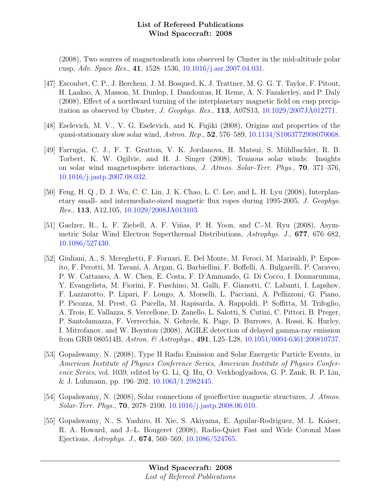(2008), Two sources of magnetosheath ions observed by Cluster in the mid-altitude polar cusp, Adv. Space Res., 41, 1528–1536, [10.1016/j.asr.2007.04.031.](http://dx.doi.org/10.1016/j.asr.2007.04.031)

- [47] Escoubet, C. P., J. Berchem, J. M. Bosqued, K. J. Trattner, M. G. G. T. Taylor, F. Pitout, H. Laakso, A. Masson, M. Dunlop, I. Dandouras, H. Reme, A. N. Fazakerley, and P. Daly (2008), Effect of a northward turning of the interplanetary magnetic field on cusp precipitation as observed by Cluster, J. Geophys. Res., 113, A07S13, [10.1029/2007JA012771.](http://dx.doi.org/10.1029/2007JA012771)
- [48] Eselevich, M. V., V. G. Eselevich, and K. Fujiki (2008), Origins and properties of the quasi-stationary slow solar wind, Astron. Rep., 52, 576–589, [10.1134/S1063772908070068.](http://dx.doi.org/10.1134/S1063772908070068)
- [49] Farrugia, C. J., F. T. Gratton, V. K. Jordanova, H. Matsui, S. Mühlbachler, R. B. Torbert, K. W. Ogilvie, and H. J. Singer (2008), Tenuous solar winds: Insights on solar wind magnetosphere interactions, J. Atmos. Solar-Terr. Phys., 70, 371–376, [10.1016/j.jastp.2007.08.032.](http://dx.doi.org/10.1016/j.jastp.2007.08.032)
- [50] Feng, H. Q., D. J. Wu, C. C. Lin, J. K. Chao, L. C. Lee, and L. H. Lyu (2008), Interplanetary small- and intermediate-sized magnetic flux ropes during 1995-2005, J. Geophys. Res., 113, A12,105, [10.1029/2008JA013103.](http://dx.doi.org/10.1029/2008JA013103)
- [51] Gaelzer, R., L. F. Ziebell, A. F. Viñas, P. H. Yoon, and C.-M. Ryu (2008), Asymmetric Solar Wind Electron Superthermal Distributions, Astrophys. J., 677, 676–682, [10.1086/527430.](http://dx.doi.org/10.1086/527430)
- [52] Giuliani, A., S. Mereghetti, F. Fornari, E. Del Monte, M. Feroci, M. Marisaldi, P. Esposito, F. Perotti, M. Tavani, A. Argan, G. Barbiellini, F. Boffelli, A. Bulgarelli, P. Caraveo, P. W. Cattaneo, A. W. Chen, E. Costa, F. D'Ammando, G. Di Cocco, I. Donnarumma, Y. Evangelista, M. Fiorini, F. Fuschino, M. Galli, F. Gianotti, C. Labanti, I. Lapshov, F. Lazzarotto, P. Lipari, F. Longo, A. Morselli, L. Pacciani, A. Pellizzoni, G. Piano, P. Picozza, M. Prest, G. Pucella, M. Rapisarda, A. Rappoldi, P. Soffitta, M. Trifoglio, A. Trois, E. Vallazza, S. Vercellone, D. Zanello, L. Salotti, S. Cutini, C. Pittori, B. Preger, P. Santolamazza, F. Verrecchia, N. Gehrels, K. Page, D. Burrows, A. Rossi, K. Hurley, I. Mitrofanov, and W. Boynton (2008), AGILE detection of delayed gamma-ray emission from GRB 080514B, Astron. & Astrophys., 491, L25–L28, [10.1051/0004-6361:200810737.](http://dx.doi.org/10.1051/0004-6361:200810737)
- [53] Gopalswamy, N. (2008), Type II Radio Emission and Solar Energetic Particle Events, in American Institute of Physics Conference Series, American Institute of Physics Conference Series, vol. 1039, edited by G. Li, Q. Hu, O. Verkhoglyadova, G. P. Zank, R. P. Lin, & J. Luhmann, pp. 196–202, [10.1063/1.2982445.](http://dx.doi.org/10.1063/1.2982445)
- [54] Gopalswamy, N. (2008), Solar connections of geoeffective magnetic structures, J. Atmos. Solar-Terr. Phys., 70, 2078–2100, [10.1016/j.jastp.2008.06.010.](http://dx.doi.org/10.1016/j.jastp.2008.06.010)
- [55] Gopalswamy, N., S. Yashiro, H. Xie, S. Akiyama, E. Aguilar-Rodriguez, M. L. Kaiser, R. A. Howard, and J.-L. Bougeret (2008), Radio-Quiet Fast and Wide Coronal Mass Ejections, Astrophys. J., 674, 560–569, [10.1086/524765.](http://dx.doi.org/10.1086/524765)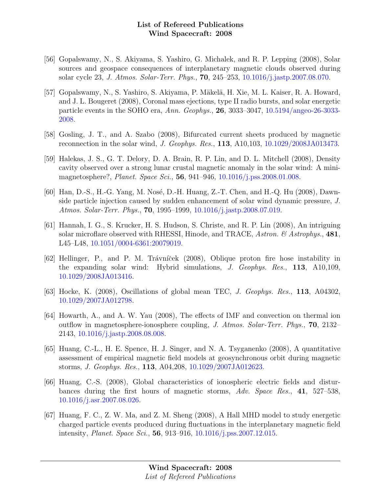- [56] Gopalswamy, N., S. Akiyama, S. Yashiro, G. Michalek, and R. P. Lepping (2008), Solar sources and geospace consequences of interplanetary magnetic clouds observed during solar cycle 23, J. Atmos. Solar-Terr. Phys., 70, 245–253, [10.1016/j.jastp.2007.08.070.](http://dx.doi.org/10.1016/j.jastp.2007.08.070)
- [57] Gopalswamy, N., S. Yashiro, S. Akiyama, P. Mäkelä, H. Xie, M. L. Kaiser, R. A. Howard, and J. L. Bougeret (2008), Coronal mass ejections, type II radio bursts, and solar energetic particle events in the SOHO era, Ann. Geophys., 26, 3033–3047, [10.5194/angeo-26-3033-](http://dx.doi.org/10.5194/angeo-26-3033-2008) [2008.](http://dx.doi.org/10.5194/angeo-26-3033-2008)
- [58] Gosling, J. T., and A. Szabo (2008), Bifurcated current sheets produced by magnetic reconnection in the solar wind, J. Geophys. Res., 113, A10,103, [10.1029/2008JA013473.](http://dx.doi.org/10.1029/2008JA013473)
- [59] Halekas, J. S., G. T. Delory, D. A. Brain, R. P. Lin, and D. L. Mitchell (2008), Density cavity observed over a strong lunar crustal magnetic anomaly in the solar wind: A minimagnetosphere?, *Planet. Space Sci.*, **56**, 941–946, [10.1016/j.pss.2008.01.008.](http://dx.doi.org/10.1016/j.pss.2008.01.008)
- [60] Han, D.-S., H.-G. Yang, M. Nosé, D.-H. Huang, Z.-T. Chen, and H.-Q. Hu (2008), Dawnside particle injection caused by sudden enhancement of solar wind dynamic pressure, J. Atmos. Solar-Terr. Phys., 70, 1995–1999, [10.1016/j.jastp.2008.07.019.](http://dx.doi.org/10.1016/j.jastp.2008.07.019)
- [61] Hannah, I. G., S. Krucker, H. S. Hudson, S. Christe, and R. P. Lin (2008), An intriguing solar microflare observed with RHESSI, Hinode, and TRACE, Astron.  $\mathcal{B}$  Astrophys., 481, L45–L48, [10.1051/0004-6361:20079019.](http://dx.doi.org/10.1051/0004-6361:20079019)
- [62] Hellinger, P., and P. M. Trávníček (2008), Oblique proton fire hose instability in the expanding solar wind: Hybrid simulations, J. Geophys. Res., 113, A10,109, [10.1029/2008JA013416.](http://dx.doi.org/10.1029/2008JA013416)
- [63] Hocke, K. (2008), Oscillations of global mean TEC, J. Geophys. Res., 113, A04302, [10.1029/2007JA012798.](http://dx.doi.org/10.1029/2007JA012798)
- [64] Howarth, A., and A. W. Yau (2008), The effects of IMF and convection on thermal ion outflow in magnetosphere-ionosphere coupling, J. Atmos. Solar-Terr. Phys., 70, 2132– 2143, [10.1016/j.jastp.2008.08.008.](http://dx.doi.org/10.1016/j.jastp.2008.08.008)
- [65] Huang, C.-L., H. E. Spence, H. J. Singer, and N. A. Tsyganenko (2008), A quantitative assessment of empirical magnetic field models at geosynchronous orbit during magnetic storms, J. Geophys. Res., 113, A04,208, [10.1029/2007JA012623.](http://dx.doi.org/10.1029/2007JA012623)
- [66] Huang, C.-S. (2008), Global characteristics of ionospheric electric fields and disturbances during the first hours of magnetic storms, Adv. Space Res., 41, 527–538, [10.1016/j.asr.2007.08.026.](http://dx.doi.org/10.1016/j.asr.2007.08.026)
- [67] Huang, F. C., Z. W. Ma, and Z. M. Sheng (2008), A Hall MHD model to study energetic charged particle events produced during fluctuations in the interplanetary magnetic field intensity, Planet. Space Sci., 56, 913–916, [10.1016/j.pss.2007.12.015.](http://dx.doi.org/10.1016/j.pss.2007.12.015)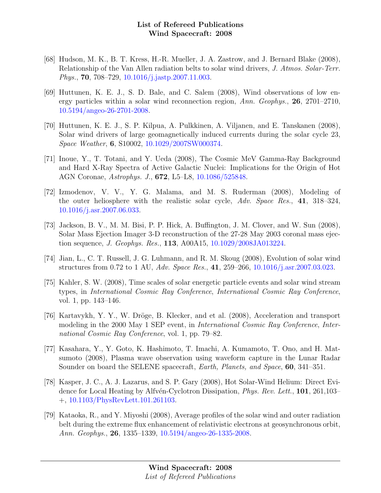- [68] Hudson, M. K., B. T. Kress, H.-R. Mueller, J. A. Zastrow, and J. Bernard Blake (2008), Relationship of the Van Allen radiation belts to solar wind drivers, J. Atmos. Solar-Terr. Phys., 70, 708–729, [10.1016/j.jastp.2007.11.003.](http://dx.doi.org/10.1016/j.jastp.2007.11.003)
- [69] Huttunen, K. E. J., S. D. Bale, and C. Salem (2008), Wind observations of low energy particles within a solar wind reconnection region, Ann. Geophys., 26, 2701–2710, [10.5194/angeo-26-2701-2008.](http://dx.doi.org/10.5194/angeo-26-2701-2008)
- [70] Huttunen, K. E. J., S. P. Kilpua, A. Pulkkinen, A. Viljanen, and E. Tanskanen (2008), Solar wind drivers of large geomagnetically induced currents during the solar cycle 23, Space Weather, 6, S10002, [10.1029/2007SW000374.](http://dx.doi.org/10.1029/2007SW000374)
- [71] Inoue, Y., T. Totani, and Y. Ueda (2008), The Cosmic MeV Gamma-Ray Background and Hard X-Ray Spectra of Active Galactic Nuclei: Implications for the Origin of Hot AGN Coronae, Astrophys. J., 672, L5–L8, [10.1086/525848.](http://dx.doi.org/10.1086/525848)
- [72] Izmodenov, V. V., Y. G. Malama, and M. S. Ruderman (2008), Modeling of the outer heliosphere with the realistic solar cycle, Adv. Space Res., 41, 318–324, [10.1016/j.asr.2007.06.033.](http://dx.doi.org/10.1016/j.asr.2007.06.033)
- [73] Jackson, B. V., M. M. Bisi, P. P. Hick, A. Buffington, J. M. Clover, and W. Sun (2008), Solar Mass Ejection Imager 3-D reconstruction of the 27-28 May 2003 coronal mass ejection sequence, J. Geophys. Res., 113, A00A15, [10.1029/2008JA013224.](http://dx.doi.org/10.1029/2008JA013224)
- [74] Jian, L., C. T. Russell, J. G. Luhmann, and R. M. Skoug (2008), Evolution of solar wind structures from 0.72 to 1 AU, Adv. Space Res., 41, 259–266, [10.1016/j.asr.2007.03.023.](http://dx.doi.org/10.1016/j.asr.2007.03.023)
- [75] Kahler, S. W. (2008), Time scales of solar energetic particle events and solar wind stream types, in International Cosmic Ray Conference, International Cosmic Ray Conference, vol. 1, pp. 143–146.
- [76] Kartavykh, Y. Y., W. Dröge, B. Klecker, and et al. (2008), Acceleration and transport modeling in the 2000 May 1 SEP event, in International Cosmic Ray Conference, International Cosmic Ray Conference, vol. 1, pp. 79–82.
- [77] Kasahara, Y., Y. Goto, K. Hashimoto, T. Imachi, A. Kumamoto, T. Ono, and H. Matsumoto (2008), Plasma wave observation using waveform capture in the Lunar Radar Sounder on board the SELENE spacecraft, Earth, Planets, and Space, 60, 341–351.
- [78] Kasper, J. C., A. J. Lazarus, and S. P. Gary (2008), Hot Solar-Wind Helium: Direct Evidence for Local Heating by Alfvén-Cyclotron Dissipation, *Phys. Rev. Lett.*, **101**, 261,103– +, [10.1103/PhysRevLett.101.261103.](http://dx.doi.org/10.1103/PhysRevLett.101.261103)
- [79] Kataoka, R., and Y. Miyoshi (2008), Average profiles of the solar wind and outer radiation belt during the extreme flux enhancement of relativistic electrons at geosynchronous orbit, Ann. Geophys., 26, 1335–1339, [10.5194/angeo-26-1335-2008.](http://dx.doi.org/10.5194/angeo-26-1335-2008)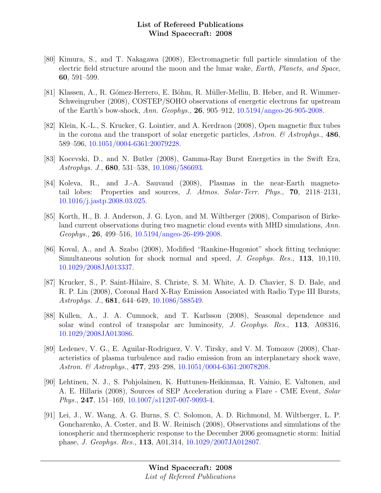- [80] Kimura, S., and T. Nakagawa (2008), Electromagnetic full particle simulation of the electric field structure around the moon and the lunar wake, Earth, Planets, and Space, 60, 591–599.
- [81] Klassen, A., R. Gómez-Herrero, E. Böhm, R. Müller-Mellin, B. Heber, and R. Wimmer-Schweingruber (2008), COSTEP/SOHO observations of energetic electrons far upstream of the Earth's bow-shock, Ann. Geophys., 26, 905–912, [10.5194/angeo-26-905-2008.](http://dx.doi.org/10.5194/angeo-26-905-2008)
- [82] Klein, K.-L., S. Krucker, G. Lointier, and A. Kerdraon (2008), Open magnetic flux tubes in the corona and the transport of solar energetic particles, Astron.  $\mathscr B$  Astrophys., 486, 589–596, [10.1051/0004-6361:20079228.](http://dx.doi.org/10.1051/0004-6361:20079228)
- [83] Kocevski, D., and N. Butler (2008), Gamma-Ray Burst Energetics in the Swift Era, Astrophys. J., 680, 531–538, [10.1086/586693.](http://dx.doi.org/10.1086/586693)
- [84] Koleva, R., and J.-A. Sauvaud (2008), Plasmas in the near-Earth magnetotail lobes: Properties and sources, J. Atmos. Solar-Terr. Phys., 70, 2118–2131, [10.1016/j.jastp.2008.03.025.](http://dx.doi.org/10.1016/j.jastp.2008.03.025)
- [85] Korth, H., B. J. Anderson, J. G. Lyon, and M. Wiltberger (2008), Comparison of Birkeland current observations during two magnetic cloud events with MHD simulations, Ann. Geophys., 26, 499–516, [10.5194/angeo-26-499-2008.](http://dx.doi.org/10.5194/angeo-26-499-2008)
- [86] Koval, A., and A. Szabo (2008), Modified "Rankine-Hugoniot" shock fitting technique: Simultaneous solution for shock normal and speed, J. Geophys. Res., 113, 10,110, [10.1029/2008JA013337.](http://dx.doi.org/10.1029/2008JA013337)
- [87] Krucker, S., P. Saint-Hilaire, S. Christe, S. M. White, A. D. Chavier, S. D. Bale, and R. P. Lin (2008), Coronal Hard X-Ray Emission Associated with Radio Type III Bursts, Astrophys. J., 681, 644–649, [10.1086/588549.](http://dx.doi.org/10.1086/588549)
- [88] Kullen, A., J. A. Cumnock, and T. Karlsson (2008), Seasonal dependence and solar wind control of transpolar arc luminosity, J. Geophys. Res., 113, A08316, [10.1029/2008JA013086.](http://dx.doi.org/10.1029/2008JA013086)
- [89] Ledenev, V. G., E. Aguilar-Rodriguez, V. V. Tirsky, and V. M. Tomozov (2008), Characteristics of plasma turbulence and radio emission from an interplanetary shock wave, Astron. & Astrophys., 477, 293–298, [10.1051/0004-6361:20078208.](http://dx.doi.org/10.1051/0004-6361:20078208)
- [90] Lehtinen, N. J., S. Pohjolainen, K. Huttunen-Heikinmaa, R. Vainio, E. Valtonen, and A. E. Hillaris (2008), Sources of SEP Acceleration during a Flare - CME Event, Solar Phys., 247, 151–169, [10.1007/s11207-007-9093-4.](http://dx.doi.org/10.1007/s11207-007-9093-4)
- [91] Lei, J., W. Wang, A. G. Burns, S. C. Solomon, A. D. Richmond, M. Wiltberger, L. P. Goncharenko, A. Coster, and B. W. Reinisch (2008), Observations and simulations of the ionospheric and thermospheric response to the December 2006 geomagnetic storm: Initial phase, J. Geophys. Res., 113, A01,314, [10.1029/2007JA012807.](http://dx.doi.org/10.1029/2007JA012807)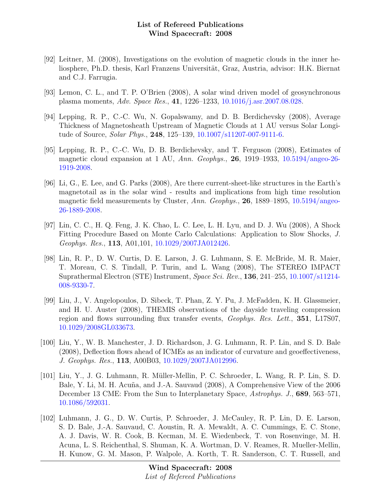- [92] Leitner, M. (2008), Investigations on the evolution of magnetic clouds in the inner heliosphere, Ph.D. thesis, Karl Franzens Universität, Graz, Austria, advisor: H.K. Biernat and C.J. Farrugia.
- [93] Lemon, C. L., and T. P. O'Brien (2008), A solar wind driven model of geosynchronous plasma moments, Adv. Space Res., 41, 1226–1233, [10.1016/j.asr.2007.08.028.](http://dx.doi.org/10.1016/j.asr.2007.08.028)
- [94] Lepping, R. P., C.-C. Wu, N. Gopalswamy, and D. B. Berdichevsky (2008), Average Thickness of Magnetosheath Upstream of Magnetic Clouds at 1 AU versus Solar Longitude of Source, Solar Phys., 248, 125–139, [10.1007/s11207-007-9111-6.](http://dx.doi.org/10.1007/s11207-007-9111-6)
- [95] Lepping, R. P., C.-C. Wu, D. B. Berdichevsky, and T. Ferguson (2008), Estimates of magnetic cloud expansion at 1 AU, Ann. Geophys., 26, 1919–1933,  $10.5194/$ angeo-26-[1919-2008.](http://dx.doi.org/10.5194/angeo-26-1919-2008)
- [96] Li, G., E. Lee, and G. Parks (2008), Are there current-sheet-like structures in the Earth's magnetotail as in the solar wind - results and implications from high time resolution magnetic field measurements by Cluster, Ann. Geophys., 26, 1889–1895, [10.5194/angeo-](http://dx.doi.org/10.5194/angeo-26-1889-2008)[26-1889-2008.](http://dx.doi.org/10.5194/angeo-26-1889-2008)
- [97] Lin, C. C., H. Q. Feng, J. K. Chao, L. C. Lee, L. H. Lyu, and D. J. Wu (2008), A Shock Fitting Procedure Based on Monte Carlo Calculations: Application to Slow Shocks, J. Geophys. Res., 113, A01,101, [10.1029/2007JA012426.](http://dx.doi.org/10.1029/2007JA012426)
- [98] Lin, R. P., D. W. Curtis, D. E. Larson, J. G. Luhmann, S. E. McBride, M. R. Maier, T. Moreau, C. S. Tindall, P. Turin, and L. Wang (2008), The STEREO IMPACT Suprathermal Electron (STE) Instrument, Space Sci. Rev., 136, 241–255, [10.1007/s11214-](http://dx.doi.org/10.1007/s11214-008-9330-7) [008-9330-7.](http://dx.doi.org/10.1007/s11214-008-9330-7)
- [99] Liu, J., V. Angelopoulos, D. Sibeck, T. Phan, Z. Y. Pu, J. McFadden, K. H. Glassmeier, and H. U. Auster (2008), THEMIS observations of the dayside traveling compression region and flows surrounding flux transfer events, Geophys. Res. Lett., 351, L17S07, [10.1029/2008GL033673.](http://dx.doi.org/10.1029/2008GL033673)
- [100] Liu, Y., W. B. Manchester, J. D. Richardson, J. G. Luhmann, R. P. Lin, and S. D. Bale (2008), Deflection flows ahead of ICMEs as an indicator of curvature and geoeffectiveness, J. Geophys. Res., 113, A00B03, [10.1029/2007JA012996.](http://dx.doi.org/10.1029/2007JA012996)
- [101] Liu, Y., J. G. Luhmann, R. Müller-Mellin, P. C. Schroeder, L. Wang, R. P. Lin, S. D. Bale, Y. Li, M. H. Acuña, and J.-A. Sauvaud (2008), A Comprehensive View of the 2006 December 13 CME: From the Sun to Interplanetary Space, Astrophys. J., 689, 563–571, [10.1086/592031.](http://dx.doi.org/10.1086/592031)
- [102] Luhmann, J. G., D. W. Curtis, P. Schroeder, J. McCauley, R. P. Lin, D. E. Larson, S. D. Bale, J.-A. Sauvaud, C. Aoustin, R. A. Mewaldt, A. C. Cummings, E. C. Stone, A. J. Davis, W. R. Cook, B. Kecman, M. E. Wiedenbeck, T. von Rosenvinge, M. H. Acuna, L. S. Reichenthal, S. Shuman, K. A. Wortman, D. V. Reames, R. Mueller-Mellin, H. Kunow, G. M. Mason, P. Walpole, A. Korth, T. R. Sanderson, C. T. Russell, and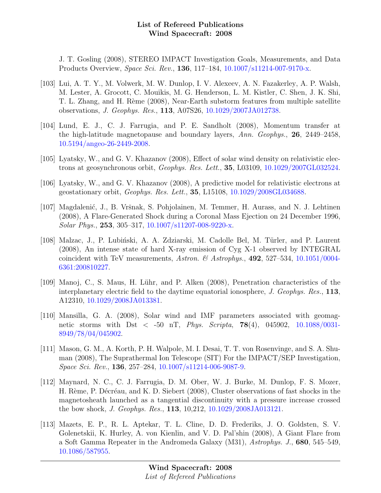J. T. Gosling (2008), STEREO IMPACT Investigation Goals, Measurements, and Data Products Overview, Space Sci. Rev., 136, 117–184, [10.1007/s11214-007-9170-x.](http://dx.doi.org/10.1007/s11214-007-9170-x)

- [103] Lui, A. T. Y., M. Volwerk, M. W. Dunlop, I. V. Alexeev, A. N. Fazakerley, A. P. Walsh, M. Lester, A. Grocott, C. Mouikis, M. G. Henderson, L. M. Kistler, C. Shen, J. K. Shi, T. L. Zhang, and H. Rème (2008), Near-Earth substorm features from multiple satellite observations, J. Geophys. Res., 113, A07S26, [10.1029/2007JA012738.](http://dx.doi.org/10.1029/2007JA012738)
- [104] Lund, E. J., C. J. Farrugia, and P. E. Sandholt (2008), Momentum transfer at the high-latitude magnetopause and boundary layers, Ann. Geophys., 26, 2449–2458, [10.5194/angeo-26-2449-2008.](http://dx.doi.org/10.5194/angeo-26-2449-2008)
- [105] Lyatsky, W., and G. V. Khazanov (2008), Effect of solar wind density on relativistic electrons at geosynchronous orbit, Geophys. Res. Lett., 35, L03109, [10.1029/2007GL032524.](http://dx.doi.org/10.1029/2007GL032524)
- [106] Lyatsky, W., and G. V. Khazanov (2008), A predictive model for relativistic electrons at geostationary orbit, Geophys. Res. Lett., 35, L15108, [10.1029/2008GL034688.](http://dx.doi.org/10.1029/2008GL034688)
- [107] Magdalenić, J., B. Vršnak, S. Pohjolainen, M. Temmer, H. Aurass, and N. J. Lehtinen (2008), A Flare-Generated Shock during a Coronal Mass Ejection on 24 December 1996, Solar Phys., 253, 305–317, [10.1007/s11207-008-9220-x.](http://dx.doi.org/10.1007/s11207-008-9220-x)
- [108] Malzac, J., P. Lubiński, A. A. Zdziarski, M. Cadolle Bel, M. Türler, and P. Laurent (2008), An intense state of hard X-ray emission of Cyg X-1 observed by INTEGRAL coincident with TeV measurements, Astron. & Astrophys.,  $492, 527-534, 10.1051/0004 492, 527-534, 10.1051/0004-$ [6361:200810227.](http://dx.doi.org/10.1051/0004-6361:200810227)
- [109] Manoj, C., S. Maus, H. Lühr, and P. Alken (2008), Penetration characteristics of the interplanetary electric field to the daytime equatorial ionosphere, J. Geophys. Res., 113, A12310, [10.1029/2008JA013381.](http://dx.doi.org/10.1029/2008JA013381)
- [110] Mansilla, G. A. (2008), Solar wind and IMF parameters associated with geomagnetic storms with Dst < -50 nT, Phys. Scripta, 78(4), 045902, [10.1088/0031-](http://dx.doi.org/10.1088/0031-8949/78/04/045902) [8949/78/04/045902.](http://dx.doi.org/10.1088/0031-8949/78/04/045902)
- [111] Mason, G. M., A. Korth, P. H. Walpole, M. I. Desai, T. T. von Rosenvinge, and S. A. Shuman (2008), The Suprathermal Ion Telescope (SIT) For the IMPACT/SEP Investigation, Space Sci. Rev., 136, 257–284, [10.1007/s11214-006-9087-9.](http://dx.doi.org/10.1007/s11214-006-9087-9)
- [112] Maynard, N. C., C. J. Farrugia, D. M. Ober, W. J. Burke, M. Dunlop, F. S. Mozer, H. Rème, P. Décréau, and K. D. Siebert (2008), Cluster observations of fast shocks in the magnetosheath launched as a tangential discontinuity with a pressure increase crossed the bow shock, J. Geophys. Res., 113, 10,212, [10.1029/2008JA013121.](http://dx.doi.org/10.1029/2008JA013121)
- [113] Mazets, E. P., R. L. Aptekar, T. L. Cline, D. D. Frederiks, J. O. Goldsten, S. V. Golenetskii, K. Hurley, A. von Kienlin, and V. D. Pal'shin (2008), A Giant Flare from a Soft Gamma Repeater in the Andromeda Galaxy (M31), Astrophys. J., 680, 545–549, [10.1086/587955.](http://dx.doi.org/10.1086/587955)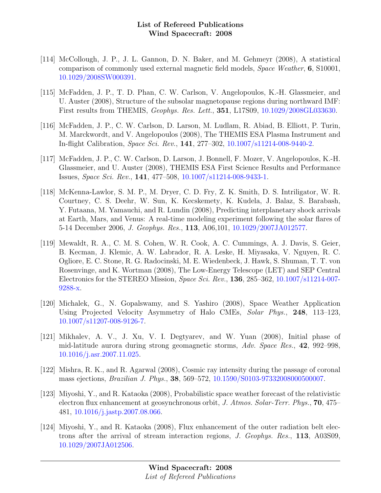- [114] McCollough, J. P., J. L. Gannon, D. N. Baker, and M. Gehmeyr (2008), A statistical comparison of commonly used external magnetic field models, Space Weather, 6, S10001, [10.1029/2008SW000391.](http://dx.doi.org/10.1029/2008SW000391)
- [115] McFadden, J. P., T. D. Phan, C. W. Carlson, V. Angelopoulos, K.-H. Glassmeier, and U. Auster (2008), Structure of the subsolar magnetopause regions during northward IMF: First results from THEMIS, Geophys. Res. Lett., 351, L17S09, [10.1029/2008GL033630.](http://dx.doi.org/10.1029/2008GL033630)
- [116] McFadden, J. P., C. W. Carlson, D. Larson, M. Ludlam, R. Abiad, B. Elliott, P. Turin, M. Marckwordt, and V. Angelopoulos (2008), The THEMIS ESA Plasma Instrument and In-flight Calibration, Space Sci. Rev., 141, 277–302, [10.1007/s11214-008-9440-2.](http://dx.doi.org/10.1007/s11214-008-9440-2)
- [117] McFadden, J. P., C. W. Carlson, D. Larson, J. Bonnell, F. Mozer, V. Angelopoulos, K.-H. Glassmeier, and U. Auster (2008), THEMIS ESA First Science Results and Performance Issues, Space Sci. Rev., 141, 477–508, [10.1007/s11214-008-9433-1.](http://dx.doi.org/10.1007/s11214-008-9433-1)
- [118] McKenna-Lawlor, S. M. P., M. Dryer, C. D. Fry, Z. K. Smith, D. S. Intriligator, W. R. Courtney, C. S. Deehr, W. Sun, K. Kecskemety, K. Kudela, J. Balaz, S. Barabash, Y. Futaana, M. Yamauchi, and R. Lundin (2008), Predicting interplanetary shock arrivals at Earth, Mars, and Venus: A real-time modeling experiment following the solar flares of 5-14 December 2006, J. Geophys. Res., 113, A06,101, [10.1029/2007JA012577.](http://dx.doi.org/10.1029/2007JA012577)
- [119] Mewaldt, R. A., C. M. S. Cohen, W. R. Cook, A. C. Cummings, A. J. Davis, S. Geier, B. Kecman, J. Klemic, A. W. Labrador, R. A. Leske, H. Miyasaka, V. Nguyen, R. C. Ogliore, E. C. Stone, R. G. Radocinski, M. E. Wiedenbeck, J. Hawk, S. Shuman, T. T. von Rosenvinge, and K. Wortman (2008), The Low-Energy Telescope (LET) and SEP Central Electronics for the STEREO Mission, Space Sci. Rev., 136, 285–362, [10.1007/s11214-007-](http://dx.doi.org/10.1007/s11214-007-9288-x) [9288-x.](http://dx.doi.org/10.1007/s11214-007-9288-x)
- [120] Michalek, G., N. Gopalswamy, and S. Yashiro (2008), Space Weather Application Using Projected Velocity Asymmetry of Halo CMEs, Solar Phys., 248, 113–123, [10.1007/s11207-008-9126-7.](http://dx.doi.org/10.1007/s11207-008-9126-7)
- [121] Mikhalev, A. V., J. Xu, V. I. Degtyarev, and W. Yuan (2008), Initial phase of mid-latitude aurora during strong geomagnetic storms, Adv. Space Res., 42, 992–998, [10.1016/j.asr.2007.11.025.](http://dx.doi.org/10.1016/j.asr.2007.11.025)
- [122] Mishra, R. K., and R. Agarwal (2008), Cosmic ray intensity during the passage of coronal mass ejections, Brazilian J. Phys., 38, 569–572, [10.1590/S0103-97332008000500007.](http://dx.doi.org/10.1590/S0103-97332008000500007)
- [123] Miyoshi, Y., and R. Kataoka (2008), Probabilistic space weather forecast of the relativistic electron flux enhancement at geosynchronous orbit, J. Atmos. Solar-Terr. Phys., 70, 475– 481, [10.1016/j.jastp.2007.08.066.](http://dx.doi.org/10.1016/j.jastp.2007.08.066)
- [124] Miyoshi, Y., and R. Kataoka (2008), Flux enhancement of the outer radiation belt electrons after the arrival of stream interaction regions, J. Geophys. Res., 113, A03S09, [10.1029/2007JA012506.](http://dx.doi.org/10.1029/2007JA012506)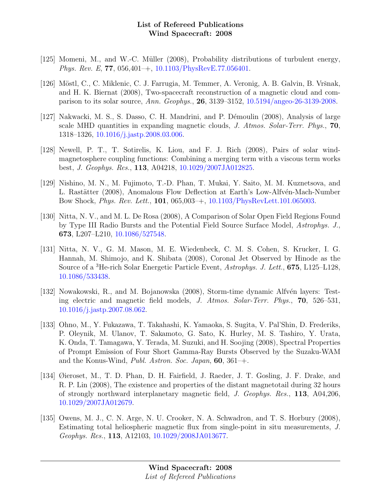- [125] Momeni, M., and W.-C. Müller (2008), Probability distributions of turbulent energy, Phys. Rev. E, 77, 056,401–+, [10.1103/PhysRevE.77.056401.](http://dx.doi.org/10.1103/PhysRevE.77.056401)
- [126] Möstl, C., C. Miklenic, C. J. Farrugia, M. Temmer, A. Veronig, A. B. Galvin, B. Vršnak, and H. K. Biernat (2008), Two-spacecraft reconstruction of a magnetic cloud and comparison to its solar source, Ann. Geophys., 26, 3139–3152, [10.5194/angeo-26-3139-2008.](http://dx.doi.org/10.5194/angeo-26-3139-2008)
- [127] Nakwacki, M. S., S. Dasso, C. H. Mandrini, and P. Démoulin (2008), Analysis of large scale MHD quantities in expanding magnetic clouds, J. Atmos. Solar-Terr. Phys., 70, 1318–1326, [10.1016/j.jastp.2008.03.006.](http://dx.doi.org/10.1016/j.jastp.2008.03.006)
- [128] Newell, P. T., T. Sotirelis, K. Liou, and F. J. Rich (2008), Pairs of solar windmagnetosphere coupling functions: Combining a merging term with a viscous term works best, J. Geophys. Res., 113, A04218, [10.1029/2007JA012825.](http://dx.doi.org/10.1029/2007JA012825)
- [129] Nishino, M. N., M. Fujimoto, T.-D. Phan, T. Mukai, Y. Saito, M. M. Kuznetsova, and L. Rastätter (2008), Anomalous Flow Deflection at Earth's Low-Alfvén-Mach-Number Bow Shock, Phys. Rev. Lett., 101, 065,003–+, [10.1103/PhysRevLett.101.065003.](http://dx.doi.org/10.1103/PhysRevLett.101.065003)
- [130] Nitta, N. V., and M. L. De Rosa (2008), A Comparison of Solar Open Field Regions Found by Type III Radio Bursts and the Potential Field Source Surface Model, Astrophys. J., 673, L207–L210, [10.1086/527548.](http://dx.doi.org/10.1086/527548)
- [131] Nitta, N. V., G. M. Mason, M. E. Wiedenbeck, C. M. S. Cohen, S. Krucker, I. G. Hannah, M. Shimojo, and K. Shibata (2008), Coronal Jet Observed by Hinode as the Source of a <sup>3</sup>He-rich Solar Energetic Particle Event, Astrophys. J. Lett., 675, L125–L128, [10.1086/533438.](http://dx.doi.org/10.1086/533438)
- [132] Nowakowski, R., and M. Bojanowska (2008), Storm-time dynamic Alfvén layers: Testing electric and magnetic field models, J. Atmos. Solar-Terr. Phys., 70, 526–531, [10.1016/j.jastp.2007.08.062.](http://dx.doi.org/10.1016/j.jastp.2007.08.062)
- [133] Ohno, M., Y. Fukazawa, T. Takahashi, K. Yamaoka, S. Sugita, V. Pal'Shin, D. Frederiks, P. Oleynik, M. Ulanov, T. Sakamoto, G. Sato, K. Hurley, M. S. Tashiro, Y. Urata, K. Onda, T. Tamagawa, Y. Terada, M. Suzuki, and H. Soojing (2008), Spectral Properties of Prompt Emission of Four Short Gamma-Ray Bursts Observed by the Suzaku-WAM and the Konus-Wind, Publ. Astron. Soc. Japan, 60, 361–+.
- [134] Øieroset, M., T. D. Phan, D. H. Fairfield, J. Raeder, J. T. Gosling, J. F. Drake, and R. P. Lin (2008), The existence and properties of the distant magnetotail during 32 hours of strongly northward interplanetary magnetic field, J. Geophys. Res., 113, A04,206, [10.1029/2007JA012679.](http://dx.doi.org/10.1029/2007JA012679)
- [135] Owens, M. J., C. N. Arge, N. U. Crooker, N. A. Schwadron, and T. S. Horbury (2008), Estimating total heliospheric magnetic flux from single-point in situ measurements, J. Geophys. Res., 113, A12103, [10.1029/2008JA013677.](http://dx.doi.org/10.1029/2008JA013677)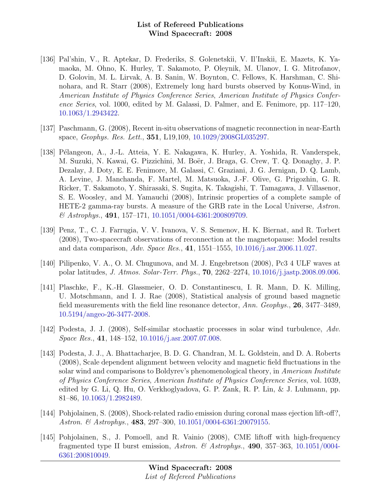- [136] Pal'shin, V., R. Aptekar, D. Frederiks, S. Golenetskii, V. Il'Inskii, E. Mazets, K. Yamaoka, M. Ohno, K. Hurley, T. Sakamoto, P. Oleynik, M. Ulanov, I. G. Mitrofanov, D. Golovin, M. L. Lirvak, A. B. Sanin, W. Boynton, C. Fellows, K. Harshman, C. Shinohara, and R. Starr (2008), Extremely long hard bursts observed by Konus-Wind, in American Institute of Physics Conference Series, American Institute of Physics Conference Series, vol. 1000, edited by M. Galassi, D. Palmer, and E. Fenimore, pp. 117–120, [10.1063/1.2943422.](http://dx.doi.org/10.1063/1.2943422)
- [137] Paschmann, G. (2008), Recent in-situ observations of magnetic reconnection in near-Earth space, Geophys. Res. Lett., 351, L19,109, [10.1029/2008GL035297.](http://dx.doi.org/10.1029/2008GL035297)
- [138] P´elangeon, A., J.-L. Atteia, Y. E. Nakagawa, K. Hurley, A. Yoshida, R. Vanderspek, M. Suzuki, N. Kawai, G. Pizzichini, M. Boër, J. Braga, G. Crew, T. Q. Donaghy, J. P. Dezalay, J. Doty, E. E. Fenimore, M. Galassi, C. Graziani, J. G. Jernigan, D. Q. Lamb, A. Levine, J. Manchanda, F. Martel, M. Matsuoka, J.-F. Olive, G. Prigozhin, G. R. Ricker, T. Sakamoto, Y. Shirasaki, S. Sugita, K. Takagishi, T. Tamagawa, J. Villasenor, S. E. Woosley, and M. Yamauchi (2008), Intrinsic properties of a complete sample of HETE-2 gamma-ray bursts. A measure of the GRB rate in the Local Universe, Astron.  $\&$  Astrophys., 491, 157-171, [10.1051/0004-6361:200809709.](http://dx.doi.org/10.1051/0004-6361:200809709)
- [139] Penz, T., C. J. Farrugia, V. V. Ivanova, V. S. Semenov, H. K. Biernat, and R. Torbert (2008), Two-spacecraft observations of reconnection at the magnetopause: Model results and data comparison, Adv. Space Res., 41, 1551–1555, [10.1016/j.asr.2006.11.027.](http://dx.doi.org/10.1016/j.asr.2006.11.027)
- [140] Pilipenko, V. A., O. M. Chugunova, and M. J. Engebretson (2008), Pc3 4 ULF waves at polar latitudes, J. Atmos. Solar-Terr. Phys., 70, 2262–2274, [10.1016/j.jastp.2008.09.006.](http://dx.doi.org/10.1016/j.jastp.2008.09.006)
- [141] Plaschke, F., K.-H. Glassmeier, O. D. Constantinescu, I. R. Mann, D. K. Milling, U. Motschmann, and I. J. Rae (2008), Statistical analysis of ground based magnetic field measurements with the field line resonance detector, Ann. Geophys., 26, 3477–3489, [10.5194/angeo-26-3477-2008.](http://dx.doi.org/10.5194/angeo-26-3477-2008)
- [142] Podesta, J. J. (2008), Self-similar stochastic processes in solar wind turbulence, Adv. Space Res., 41, 148–152, [10.1016/j.asr.2007.07.008.](http://dx.doi.org/10.1016/j.asr.2007.07.008)
- [143] Podesta, J. J., A. Bhattacharjee, B. D. G. Chandran, M. L. Goldstein, and D. A. Roberts (2008), Scale dependent alignment between velocity and magnetic field fluctuations in the solar wind and comparisons to Boldyrev's phenomenological theory, in American Institute of Physics Conference Series, American Institute of Physics Conference Series, vol. 1039, edited by G. Li, Q. Hu, O. Verkhoglyadova, G. P. Zank, R. P. Lin, & J. Luhmann, pp. 81–86, [10.1063/1.2982489.](http://dx.doi.org/10.1063/1.2982489)
- [144] Pohjolainen, S. (2008), Shock-related radio emission during coronal mass ejection lift-off?, Astron. & Astrophys., 483, 297–300, [10.1051/0004-6361:20079155.](http://dx.doi.org/10.1051/0004-6361:20079155)
- [145] Pohjolainen, S., J. Pomoell, and R. Vainio (2008), CME liftoff with high-frequency fragmented type II burst emission, Astron. & Astrophys., 490, 357-363, [10.1051/0004-](http://dx.doi.org/10.1051/0004-6361:200810049) [6361:200810049.](http://dx.doi.org/10.1051/0004-6361:200810049)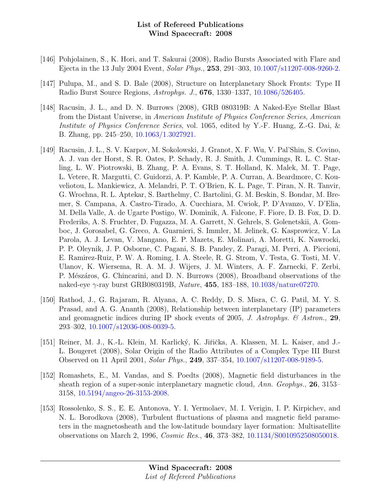- [146] Pohjolainen, S., K. Hori, and T. Sakurai (2008), Radio Bursts Associated with Flare and Ejecta in the 13 July 2004 Event, Solar Phys., 253, 291–303, [10.1007/s11207-008-9260-2.](http://dx.doi.org/10.1007/s11207-008-9260-2)
- [147] Pulupa, M., and S. D. Bale (2008), Structure on Interplanetary Shock Fronts: Type II Radio Burst Source Regions, Astrophys. J., 676, 1330–1337, [10.1086/526405.](http://dx.doi.org/10.1086/526405)
- [148] Racusin, J. L., and D. N. Burrows (2008), GRB 080319B: A Naked-Eye Stellar Blast from the Distant Universe, in American Institute of Physics Conference Series, American Institute of Physics Conference Series, vol. 1065, edited by Y.-F. Huang, Z.-G. Dai, & B. Zhang, pp. 245–250, [10.1063/1.3027921.](http://dx.doi.org/10.1063/1.3027921)
- [149] Racusin, J. L., S. V. Karpov, M. Sokolowski, J. Granot, X. F. Wu, V. Pal'Shin, S. Covino, A. J. van der Horst, S. R. Oates, P. Schady, R. J. Smith, J. Cummings, R. L. C. Starling, L. W. Piotrowski, B. Zhang, P. A. Evans, S. T. Holland, K. Malek, M. T. Page, L. Vetere, R. Margutti, C. Guidorzi, A. P. Kamble, P. A. Curran, A. Beardmore, C. Kouveliotou, L. Mankiewicz, A. Melandri, P. T. O'Brien, K. L. Page, T. Piran, N. R. Tanvir, G. Wrochna, R. L. Aptekar, S. Barthelmy, C. Bartolini, G. M. Beskin, S. Bondar, M. Bremer, S. Campana, A. Castro-Tirado, A. Cucchiara, M. Cwiok, P. D'Avanzo, V. D'Elia, M. Della Valle, A. de Ugarte Postigo, W. Dominik, A. Falcone, F. Fiore, D. B. Fox, D. D. Frederiks, A. S. Fruchter, D. Fugazza, M. A. Garrett, N. Gehrels, S. Golenetskii, A. Gomboc, J. Gorosabel, G. Greco, A. Guarnieri, S. Immler, M. Jelinek, G. Kasprowicz, V. La Parola, A. J. Levan, V. Mangano, E. P. Mazets, E. Molinari, A. Moretti, K. Nawrocki, P. P. Oleynik, J. P. Osborne, C. Pagani, S. B. Pandey, Z. Paragi, M. Perri, A. Piccioni, E. Ramirez-Ruiz, P. W. A. Roming, I. A. Steele, R. G. Strom, V. Testa, G. Tosti, M. V. Ulanov, K. Wiersema, R. A. M. J. Wijers, J. M. Winters, A. F. Zarnecki, F. Zerbi, P. Mészáros, G. Chincarini, and D. N. Burrows (2008), Broadband observations of the naked-eye γ-ray burst GRB080319B, Nature, 455, 183–188, [10.1038/nature07270.](http://dx.doi.org/10.1038/nature07270)
- [150] Rathod, J., G. Rajaram, R. Alyana, A. C. Reddy, D. S. Misra, C. G. Patil, M. Y. S. Prasad, and A. G. Ananth (2008), Relationship between interplanetary (IP) parameters and geomagnetic indices during IP shock events of 2005, J. Astrophys.  $\mathcal{C}$  Astron., 29, 293–302, [10.1007/s12036-008-0039-5.](http://dx.doi.org/10.1007/s12036-008-0039-5)
- [151] Reiner, M. J., K.-L. Klein, M. Karlický, K. Jiřička, A. Klassen, M. L. Kaiser, and J.-L. Bougeret (2008), Solar Origin of the Radio Attributes of a Complex Type III Burst Observed on 11 April 2001, Solar Phys., 249, 337–354, [10.1007/s11207-008-9189-5.](http://dx.doi.org/10.1007/s11207-008-9189-5)
- [152] Romashets, E., M. Vandas, and S. Poedts (2008), Magnetic field disturbances in the sheath region of a super-sonic interplanetary magnetic cloud, Ann. Geophys., 26, 3153– 3158, [10.5194/angeo-26-3153-2008.](http://dx.doi.org/10.5194/angeo-26-3153-2008)
- [153] Rossolenko, S. S., E. E. Antonova, Y. I. Yermolaev, M. I. Verigin, I. P. Kirpichev, and N. L. Borodkova (2008), Turbulent fluctuations of plasma and magnetic field parameters in the magnetosheath and the low-latitude boundary layer formation: Multisatellite observations on March 2, 1996, Cosmic Res., 46, 373–382, [10.1134/S0010952508050018.](http://dx.doi.org/10.1134/S0010952508050018)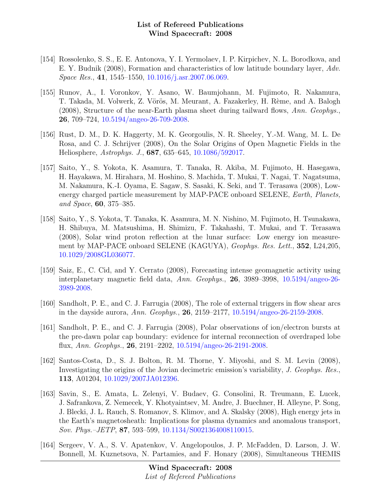- [154] Rossolenko, S. S., E. E. Antonova, Y. I. Yermolaev, I. P. Kirpichev, N. L. Borodkova, and E. Y. Budnik (2008), Formation and characteristics of low latitude boundary layer, Adv. Space Res., 41, 1545–1550, [10.1016/j.asr.2007.06.069.](http://dx.doi.org/10.1016/j.asr.2007.06.069)
- [155] Runov, A., I. Voronkov, Y. Asano, W. Baumjohann, M. Fujimoto, R. Nakamura, T. Takada, M. Volwerk, Z. Vörös, M. Meurant, A. Fazakerley, H. Rème, and A. Balogh (2008), Structure of the near-Earth plasma sheet during tailward flows, Ann. Geophys., 26, 709–724, [10.5194/angeo-26-709-2008.](http://dx.doi.org/10.5194/angeo-26-709-2008)
- [156] Rust, D. M., D. K. Haggerty, M. K. Georgoulis, N. R. Sheeley, Y.-M. Wang, M. L. De Rosa, and C. J. Schrijver (2008), On the Solar Origins of Open Magnetic Fields in the Heliosphere, Astrophys. J., 687, 635–645, [10.1086/592017.](http://dx.doi.org/10.1086/592017)
- [157] Saito, Y., S. Yokota, K. Asamura, T. Tanaka, R. Akiba, M. Fujimoto, H. Hasegawa, H. Hayakawa, M. Hirahara, M. Hoshino, S. Machida, T. Mukai, T. Nagai, T. Nagatsuma, M. Nakamura, K.-I. Oyama, E. Sagaw, S. Sasaki, K. Seki, and T. Terasawa (2008), Lowenergy charged particle measurement by MAP-PACE onboard SELENE, Earth, Planets, and Space, 60, 375–385.
- [158] Saito, Y., S. Yokota, T. Tanaka, K. Asamura, M. N. Nishino, M. Fujimoto, H. Tsunakawa, H. Shibuya, M. Matsushima, H. Shimizu, F. Takahashi, T. Mukai, and T. Terasawa (2008), Solar wind proton reflection at the lunar surface: Low energy ion measurement by MAP-PACE onboard SELENE (KAGUYA), Geophys. Res. Lett., 352, L24,205, [10.1029/2008GL036077.](http://dx.doi.org/10.1029/2008GL036077)
- [159] Saiz, E., C. Cid, and Y. Cerrato (2008), Forecasting intense geomagnetic activity using interplanetary magnetic field data, Ann. Geophys., 26, 3989–3998, [10.5194/angeo-26-](http://dx.doi.org/10.5194/angeo-26-3989-2008) [3989-2008.](http://dx.doi.org/10.5194/angeo-26-3989-2008)
- [160] Sandholt, P. E., and C. J. Farrugia (2008), The role of external triggers in flow shear arcs in the dayside aurora, Ann. Geophys., 26, 2159–2177, [10.5194/angeo-26-2159-2008.](http://dx.doi.org/10.5194/angeo-26-2159-2008)
- [161] Sandholt, P. E., and C. J. Farrugia (2008), Polar observations of ion/electron bursts at the pre-dawn polar cap boundary: evidence for internal reconnection of overdraped lobe flux, Ann. Geophys., 26, 2191–2202, [10.5194/angeo-26-2191-2008.](http://dx.doi.org/10.5194/angeo-26-2191-2008)
- [162] Santos-Costa, D., S. J. Bolton, R. M. Thorne, Y. Miyoshi, and S. M. Levin (2008), Investigating the origins of the Jovian decimetric emission's variability, J. Geophys. Res., 113, A01204, [10.1029/2007JA012396.](http://dx.doi.org/10.1029/2007JA012396)
- [163] Savin, S., E. Amata, L. Zelenyi, V. Budaev, G. Consolini, R. Treumann, E. Lucek, J. Safrankova, Z. Nemecek, Y. Khotyaintsev, M. Andre, J. Buechner, H. Alleyne, P. Song, J. Blecki, J. L. Rauch, S. Romanov, S. Klimov, and A. Skalsky (2008), High energy jets in the Earth's magnetosheath: Implications for plasma dynamics and anomalous transport, Sov. Phys.–JETP, 87, 593–599, [10.1134/S0021364008110015.](http://dx.doi.org/10.1134/S0021364008110015)
- [164] Sergeev, V. A., S. V. Apatenkov, V. Angelopoulos, J. P. McFadden, D. Larson, J. W. Bonnell, M. Kuznetsova, N. Partamies, and F. Honary (2008), Simultaneous THEMIS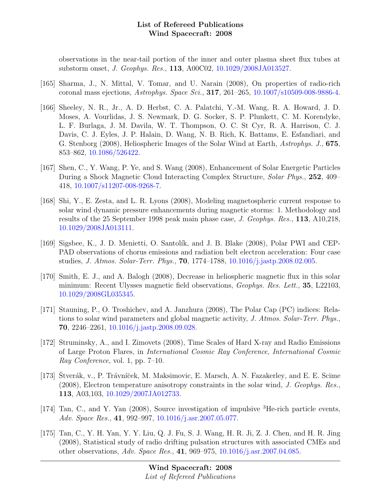observations in the near-tail portion of the inner and outer plasma sheet flux tubes at substorm onset, J. Geophys. Res., 113, A00C02, [10.1029/2008JA013527.](http://dx.doi.org/10.1029/2008JA013527)

- [165] Sharma, J., N. Mittal, V. Tomar, and U. Narain (2008), On properties of radio-rich coronal mass ejections, Astrophys. Space Sci., 317, 261–265, [10.1007/s10509-008-9886-4.](http://dx.doi.org/10.1007/s10509-008-9886-4)
- [166] Sheeley, N. R., Jr., A. D. Herbst, C. A. Palatchi, Y.-M. Wang, R. A. Howard, J. D. Moses, A. Vourlidas, J. S. Newmark, D. G. Socker, S. P. Plunkett, C. M. Korendyke, L. F. Burlaga, J. M. Davila, W. T. Thompson, O. C. St Cyr, R. A. Harrison, C. J. Davis, C. J. Eyles, J. P. Halain, D. Wang, N. B. Rich, K. Battams, E. Esfandiari, and G. Stenborg (2008), Heliospheric Images of the Solar Wind at Earth, Astrophys. J., 675, 853–862, [10.1086/526422.](http://dx.doi.org/10.1086/526422)
- [167] Shen, C., Y. Wang, P. Ye, and S. Wang (2008), Enhancement of Solar Energetic Particles During a Shock Magnetic Cloud Interacting Complex Structure, Solar Phys., 252, 409– 418, [10.1007/s11207-008-9268-7.](http://dx.doi.org/10.1007/s11207-008-9268-7)
- [168] Shi, Y., E. Zesta, and L. R. Lyons (2008), Modeling magnetospheric current response to solar wind dynamic pressure enhancements during magnetic storms: 1. Methodology and results of the 25 September 1998 peak main phase case, J. Geophys. Res., 113, A10,218, [10.1029/2008JA013111.](http://dx.doi.org/10.1029/2008JA013111)
- [169] Sigsbee, K., J. D. Menietti, O. Santolík, and J. B. Blake (2008), Polar PWI and CEP-PAD observations of chorus emissions and radiation belt electron acceleration: Four case studies, J. Atmos. Solar-Terr. Phys., 70, 1774–1788, [10.1016/j.jastp.2008.02.005.](http://dx.doi.org/10.1016/j.jastp.2008.02.005)
- [170] Smith, E. J., and A. Balogh (2008), Decrease in heliospheric magnetic flux in this solar minimum: Recent Ulysses magnetic field observations, Geophys. Res. Lett., 35, L22103, [10.1029/2008GL035345.](http://dx.doi.org/10.1029/2008GL035345)
- [171] Stauning, P., O. Troshichev, and A. Janzhura (2008), The Polar Cap (PC) indices: Relations to solar wind parameters and global magnetic activity, J. Atmos. Solar-Terr. Phys., 70, 2246–2261, [10.1016/j.jastp.2008.09.028.](http://dx.doi.org/10.1016/j.jastp.2008.09.028)
- [172] Struminsky, A., and I. Zimovets (2008), Time Scales of Hard X-ray and Radio Emissions of Large Proton Flares, in International Cosmic Ray Conference, International Cosmic Ray Conference, vol. 1, pp. 7–10.
- [173] Stverák, v., P. Trávníček, M. Maksimovic, E. Marsch, A. N. Fazakerley, and E. E. Scime (2008), Electron temperature anisotropy constraints in the solar wind, J. Geophys. Res., 113, A03,103, [10.1029/2007JA012733.](http://dx.doi.org/10.1029/2007JA012733)
- [174] Tan, C., and Y. Yan (2008), Source investigation of impulsive  ${}^{3}$ He-rich particle events, Adv. Space Res., 41, 992–997, [10.1016/j.asr.2007.05.077.](http://dx.doi.org/10.1016/j.asr.2007.05.077)
- [175] Tan, C., Y. H. Yan, Y. Y. Liu, Q. J. Fu, S. J. Wang, H. R. Ji, Z. J. Chen, and H. R. Jing (2008), Statistical study of radio drifting pulsation structures with associated CMEs and other observations, Adv. Space Res., 41, 969–975, [10.1016/j.asr.2007.04.085.](http://dx.doi.org/10.1016/j.asr.2007.04.085)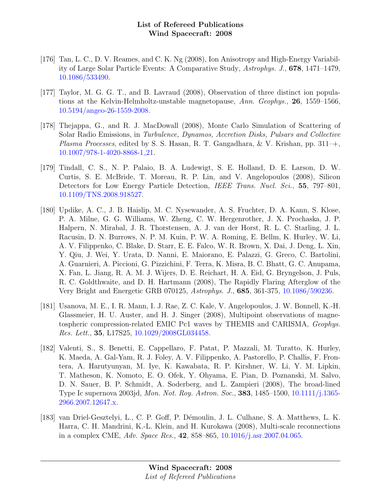- [176] Tan, L. C., D. V. Reames, and C. K. Ng (2008), Ion Anisotropy and High-Energy Variability of Large Solar Particle Events: A Comparative Study, Astrophys. J., 678, 1471–1479, [10.1086/533490.](http://dx.doi.org/10.1086/533490)
- [177] Taylor, M. G. G. T., and B. Lavraud (2008), Observation of three distinct ion populations at the Kelvin-Helmholtz-unstable magnetopause, Ann. Geophys., 26, 1559–1566, [10.5194/angeo-26-1559-2008.](http://dx.doi.org/10.5194/angeo-26-1559-2008)
- [178] Thejappa, G., and R. J. MacDowall (2008), Monte Carlo Simulation of Scattering of Solar Radio Emissions, in Turbulence, Dynamos, Accretion Disks, Pulsars and Collective Plasma Processes, edited by S. S. Hasan, R. T. Gangadhara, & V. Krishan, pp. 311–+, [10.1007/978-1-4020-8868-1](http://dx.doi.org/10.1007/978-1-4020-8868-1_21) 21.
- [179] Tindall, C. S., N. P. Palaio, B. A. Ludewigt, S. E. Holland, D. E. Larson, D. W. Curtis, S. E. McBride, T. Moreau, R. P. Lin, and V. Angelopoulos (2008), Silicon Detectors for Low Energy Particle Detection, IEEE Trans. Nucl. Sci., 55, 797–801, [10.1109/TNS.2008.918527.](http://dx.doi.org/10.1109/TNS.2008.918527)
- [180] Updike, A. C., J. B. Haislip, M. C. Nysewander, A. S. Fruchter, D. A. Kann, S. Klose, P. A. Milne, G. G. Williams, W. Zheng, C. W. Hergenrother, J. X. Prochaska, J. P. Halpern, N. Mirabal, J. R. Thorstensen, A. J. van der Horst, R. L. C. Starling, J. L. Racusin, D. N. Burrows, N. P. M. Kuin, P. W. A. Roming, E. Bellm, K. Hurley, W. Li, A. V. Filippenko, C. Blake, D. Starr, E. E. Falco, W. R. Brown, X. Dai, J. Deng, L. Xin, Y. Qiu, J. Wei, Y. Urata, D. Nanni, E. Maiorano, E. Palazzi, G. Greco, C. Bartolini, A. Guarnieri, A. Piccioni, G. Pizzichini, F. Terra, K. Misra, B. C. Bhatt, G. C. Anupama, X. Fan, L. Jiang, R. A. M. J. Wijers, D. E. Reichart, H. A. Eid, G. Bryngelson, J. Puls, R. C. Goldthwaite, and D. H. Hartmann (2008), The Rapidly Flaring Afterglow of the Very Bright and Energetic GRB 070125, Astrophys. J., 685, 361-375, [10.1086/590236.](http://dx.doi.org/10.1086/590236)
- [181] Usanova, M. E., I. R. Mann, I. J. Rae, Z. C. Kale, V. Angelopoulos, J. W. Bonnell, K.-H. Glassmeier, H. U. Auster, and H. J. Singer (2008), Multipoint observations of magnetospheric compression-related EMIC Pc1 waves by THEMIS and CARISMA, Geophys. Res. Lett., 35, L17S25, [10.1029/2008GL034458.](http://dx.doi.org/10.1029/2008GL034458)
- [182] Valenti, S., S. Benetti, E. Cappellaro, F. Patat, P. Mazzali, M. Turatto, K. Hurley, K. Maeda, A. Gal-Yam, R. J. Foley, A. V. Filippenko, A. Pastorello, P. Challis, F. Frontera, A. Harutyunyan, M. Iye, K. Kawabata, R. P. Kirshner, W. Li, Y. M. Lipkin, T. Matheson, K. Nomoto, E. O. Ofek, Y. Ohyama, E. Pian, D. Poznanski, M. Salvo, D. N. Sauer, B. P. Schmidt, A. Soderberg, and L. Zampieri (2008), The broad-lined Type Ic supernova 2003jd, Mon. Not. Roy. Astron. Soc., 383, 1485–1500, [10.1111/j.1365-](http://dx.doi.org/10.1111/j.1365-2966.2007.12647.x) [2966.2007.12647.x.](http://dx.doi.org/10.1111/j.1365-2966.2007.12647.x)
- [183] van Driel-Gesztelyi, L., C. P. Goff, P. Démoulin, J. L. Culhane, S. A. Matthews, L. K. Harra, C. H. Mandrini, K.-L. Klein, and H. Kurokawa (2008), Multi-scale reconnections in a complex CME, Adv. Space Res., 42, 858–865, [10.1016/j.asr.2007.04.065.](http://dx.doi.org/10.1016/j.asr.2007.04.065)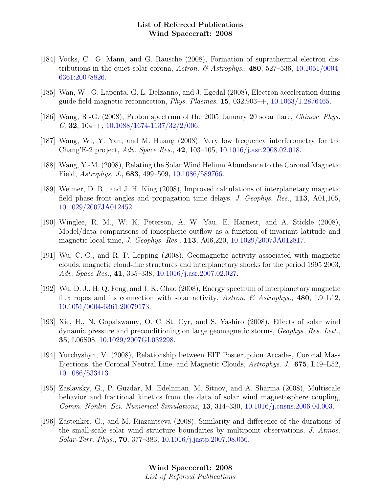- [184] Vocks, C., G. Mann, and G. Rausche (2008), Formation of suprathermal electron dis-tributions in the quiet solar corona, Astron. & Astrophys., 480, 527-536, [10.1051/0004-](http://dx.doi.org/10.1051/0004-6361:20078826) [6361:20078826.](http://dx.doi.org/10.1051/0004-6361:20078826)
- [185] Wan, W., G. Lapenta, G. L. Delzanno, and J. Egedal (2008), Electron acceleration during guide field magnetic reconnection, *Phys. Plasmas*, **15**,  $032,903$ –+,  $10.1063/1.2876465$ .
- [186] Wang, R.-G. (2008), Proton spectrum of the 2005 January 20 solar flare, Chinese Phys. C, **32**, 104–+,  $10.1088/1674-1137/32/2/006$ .
- [187] Wang, W., Y. Yan, and M. Huang (2008), Very low frequency interferometry for the Chang'E-2 project, Adv. Space Res., 42, 103–105, [10.1016/j.asr.2008.02.018.](http://dx.doi.org/10.1016/j.asr.2008.02.018)
- [188] Wang, Y.-M. (2008), Relating the Solar Wind Helium Abundance to the Coronal Magnetic Field, Astrophys. J., 683, 499–509, [10.1086/589766.](http://dx.doi.org/10.1086/589766)
- [189] Weimer, D. R., and J. H. King (2008), Improved calculations of interplanetary magnetic field phase front angles and propagation time delays, J. Geophys. Res., 113, A01,105, [10.1029/2007JA012452.](http://dx.doi.org/10.1029/2007JA012452)
- [190] Winglee, R. M., W. K. Peterson, A. W. Yau, E. Harnett, and A. Stickle (2008), Model/data comparisons of ionospheric outflow as a function of invariant latitude and magnetic local time, J. Geophys. Res., 113, A06,220, [10.1029/2007JA012817.](http://dx.doi.org/10.1029/2007JA012817)
- [191] Wu, C.-C., and R. P. Lepping (2008), Geomagnetic activity associated with magnetic clouds, magnetic cloud-like structures and interplanetary shocks for the period 1995 2003, Adv. Space Res., 41, 335–338, [10.1016/j.asr.2007.02.027.](http://dx.doi.org/10.1016/j.asr.2007.02.027)
- [192] Wu, D. J., H. Q. Feng, and J. K. Chao (2008), Energy spectrum of interplanetary magnetic flux ropes and its connection with solar activity, Astron. & Astrophys., 480, L9–L12, [10.1051/0004-6361:20079173.](http://dx.doi.org/10.1051/0004-6361:20079173)
- [193] Xie, H., N. Gopalswamy, O. C. St. Cyr, and S. Yashiro (2008), Effects of solar wind dynamic pressure and preconditioning on large geomagnetic storms, Geophys. Res. Lett., 35, L06S08, [10.1029/2007GL032298.](http://dx.doi.org/10.1029/2007GL032298)
- [194] Yurchyshyn, V. (2008), Relationship between EIT Posteruption Arcades, Coronal Mass Ejections, the Coronal Neutral Line, and Magnetic Clouds, Astrophys. J., 675, L49–L52, [10.1086/533413.](http://dx.doi.org/10.1086/533413)
- [195] Zaslavsky, G., P. Guzdar, M. Edelnman, M. Sitnov, and A. Sharma (2008), Multiscale behavior and fractional kinetics from the data of solar wind magnetosphere coupling, Comm. Nonlin. Sci. Numerical Simulations, 13, 314–330, [10.1016/j.cnsns.2006.04.003.](http://dx.doi.org/10.1016/j.cnsns.2006.04.003)
- [196] Zastenker, G., and M. Riazantseva (2008), Similarity and difference of the durations of the small-scale solar wind structure boundaries by multipoint observations, J. Atmos. Solar-Terr. Phys., 70, 377–383, [10.1016/j.jastp.2007.08.056.](http://dx.doi.org/10.1016/j.jastp.2007.08.056)